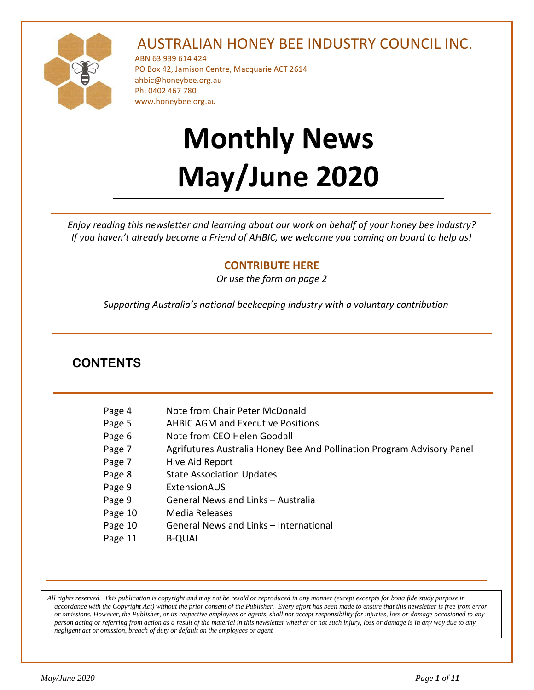

# AUSTRALIAN HONEY BEE INDUSTRY COUNCIL INC.

ABN 63 939 614 424 PO Box 42, Jamison Centre, Macquarie ACT 2614 [ahbic@honeybee.org.au](mailto:ahbic@honeybee.org.au) Ph: 0402 467 780 www.honeybee.org.au

# **Monthly News May/June 2020**

*Enjoy reading this newsletter and learning about our work on behalf of your honey bee industry? If you haven't already become a Friend of AHBIC, we welcome you coming on board to help us!* 

# **[CONTRIBUTE HERE](https://honeybee.org.au/friends-of-ahbic-voluntary-contribution/)**

*Or use the form on page 2*

*Supporting Australia's national beekeeping industry with a voluntary contribution*

# **CONTENTS**

| Page 4  | Note from Chair Peter McDonald                                         |
|---------|------------------------------------------------------------------------|
| Page 5  | <b>AHBIC AGM and Executive Positions</b>                               |
| Page 6  | Note from CEO Helen Goodall                                            |
| Page 7  | Agrifutures Australia Honey Bee And Pollination Program Advisory Panel |
| Page 7  | Hive Aid Report                                                        |
| Page 8  | <b>State Association Updates</b>                                       |
| Page 9  | ExtensionAUS                                                           |
| Page 9  | General News and Links - Australia                                     |
| Page 10 | Media Releases                                                         |
| Page 10 | General News and Links - International                                 |
| Page 11 | <b>B-OUAL</b>                                                          |

*All rights reserved. This publication is copyright and may not be resold or reproduced in any manner (except excerpts for bona fide study purpose in accordance with the Copyright Act) without the prior consent of the Publisher. Every effort has been made to ensure that this newsletter is free from error or omissions. However, the Publisher, or its respective employees or agents, shall not accept responsibility for injuries, loss or damage occasioned to any person acting or referring from action as a result of the material in this newsletter whether or not such injury, loss or damage is in any way due to any negligent act or omission, breach of duty or default on the employees or agent*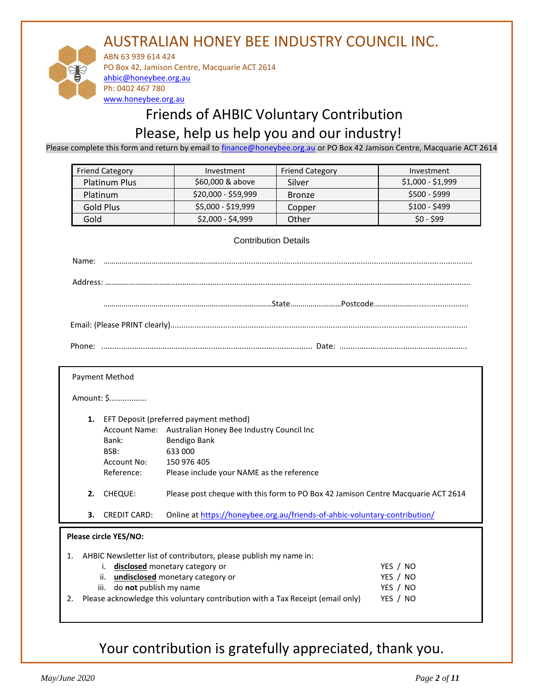# AUSTRALIAN HONEY BEE INDUSTRY COUNCIL INC.



ABN 63 939 614 424 PO Box 42, Jamison Centre, Macquarie ACT 2614 [ahbic@honeybee.org.au](mailto:ahbic@honeybee.org.au) Ph: 0402 467 780 [www.honeybee.org.au](http://www.honeybee.org.au/)

# Friends of AHBIC Voluntary Contribution Please, help us help you and our industry!

Please complete this form and return by email to [finance@honeybee.org.au](mailto:finance@honeybee.org.au) or PO Box 42 Jamison Centre, Macquarie ACT 2614

| <b>Friend Category</b> | Investment          | <b>Friend Category</b> | Investment        |
|------------------------|---------------------|------------------------|-------------------|
| <b>Platinum Plus</b>   | \$60,000 & above    | Silver                 | $$1,000 - $1,999$ |
| <b>Platinum</b>        | \$20,000 - \$59,999 | <b>Bronze</b>          | $$500 - $999$     |
| Gold Plus              | \$5,000 - \$19,999  | Copper                 | $$100 - $499$     |
| Gold                   | \$2,000 - \$4,999   | Other                  | $$0 - $99$        |

#### Contribution Details

Amount: \$.................

- **1.** EFT Deposit (preferred payment method) Account Name: Australian Honey Bee Industry Council Inc Bank: Bendigo Bank BSB: 633 000 Account No: 150 976 405 Reference: Please include your NAME as the reference **2.** CHEQUE: Please post cheque with this form to PO Box 42 Jamison Centre Macquarie ACT 2614
- 
- **3.** CREDIT CARD: Online at<https://honeybee.org.au/friends-of-ahbic-voluntary-contribution/>

# **Please circle YES/NO:**

|    | 1. AHBIC Newsletter list of contributors, please publish my name in:           |          |  |
|----|--------------------------------------------------------------------------------|----------|--|
|    | i. disclosed monetary category or                                              | YES / NO |  |
|    | ii. undisclosed monetary category or                                           | YES / NO |  |
|    | iii. do not publish my name                                                    | YES / NO |  |
| 2. | Please acknowledge this voluntary contribution with a Tax Receipt (email only) | YES / NO |  |
|    |                                                                                |          |  |

# Your contribution is gratefully appreciated, thank you.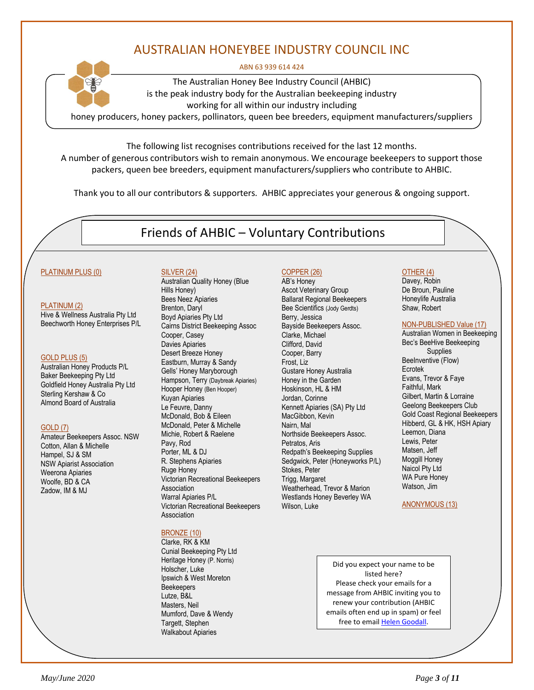# AUSTRALIAN HONEYBEE INDUSTRY COUNCIL INC

#### ABN 63 939 614 424



The Australian Honey Bee Industry Council (AHBIC) is the peak industry body for the Australian beekeeping industry working for all within our industry including

honey producers, honey packers, pollinators, queen bee breeders, equipment manufacturers/suppliers

The following list recognises contributions received for the last 12 months. A number of generous contributors wish to remain anonymous. We encourage beekeepers to support those packers, queen bee breeders, equipment manufacturers/suppliers who contribute to AHBIC.

Thank you to all our contributors & supporters*.* AHBIC appreciates your generous & ongoing support.

Friends of AHBIC – Voluntary Contributions

#### PLATINUM PLUS (0)

#### PLATINUM (2)

Hive & Wellness Australia Pty Ltd Beechworth Honey Enterprises P/L

#### GOLD PLUS (5)

Australian Honey Products P/L Baker Beekeeping Pty Ltd Goldfield Honey Australia Pty Ltd Sterling Kershaw & Co Almond Board of Australia

#### GOLD (7)

Amateur Beekeepers Assoc. NSW Cotton, Allan & Michelle Hampel, SJ & SM NSW Apiarist Association Weerona Apiaries Woolfe, BD & CA Zadow, IM & MJ

#### SILVER (24)

Australian Quality Honey (Blue Hills Honey) Bees Neez Apiaries Brenton, Daryl Boyd Apiaries Pty Ltd Cairns District Beekeeping Assoc Cooper, Casey Davies Apiaries Desert Breeze Honey Eastburn, Murray & Sandy Gells' Honey Maryborough Hampson, Terry (Daybreak Apiaries) Hooper Honey (Ben Hooper) Kuyan Apiaries Le Feuvre, Danny McDonald, Bob & Eileen McDonald, Peter & Michelle Michie, Robert & Raelene Pavy, Rod Porter, ML & DJ R. Stephens Apiaries Ruge Honey Victorian Recreational Beekeepers Association Warral Apiaries P/L Victorian Recreational Beekeepers Association

#### BRONZE (10)

Clarke, RK & KM Cunial Beekeeping Pty Ltd Heritage Honey (P. Norris) Holscher, Luke Ipswich & West Moreton **Beekeepers** Lutze, B&L Masters, Neil Mumford, Dave & Wendy Targett, Stephen Walkabout Apiaries

#### COPPER (26) AB's Honey

Ascot Veterinary Group Ballarat Regional Beekeepers Bee Scientifics (Jody Gerdts) Berry, Jessica Bayside Beekeepers Assoc. Clarke, Michael Clifford, David Cooper, Barry Frost, Liz Gustare Honey Australia Honey in the Garden Hoskinson, HL & HM Jordan, Corinne Kennett Apiaries (SA) Pty Ltd MacGibbon, Kevin Nairn, Mal Northside Beekeepers Assoc. Petratos, Aris Redpath's Beekeeping Supplies Sedgwick, Peter (Honeyworks P/L) Stokes, Peter Trigg, Margaret Weatherhead, Trevor & Marion Westlands Honey Beverley WA Wilson, Luke

# OTHER (4)

Davey, Robin De Broun, Pauline Honeylife Australia Shaw, Robert

#### NON-PUBLISHED Value (17)

Australian Women in Beekeeping Bec's BeeHive Beekeeping Supplies BeeInventive (Flow) Ecrotek Evans, Trevor & Faye Faithful, Mark Gilbert, Martin & Lorraine Geelong Beekeepers Club Gold Coast Regional Beekeepers Hibberd, GL & HK, HSH Apiary Leemon, Diana Lewis, Peter Matsen, Jeff Moggill Honey Naicol Pty Ltd WA Pure Honey Watson, Jim

#### ANONYMOUS (13)

Did you expect your name to be listed here? Please check your emails for a message from AHBIC inviting you to renew your contribution (AHBIC emails often end up in spam) or feel free to emai[l Helen Goodall.](mailto:ahbic@honeybee.org.au?subject=Voluntary%20Contributions%20-%20Query%20from%20Newsletter)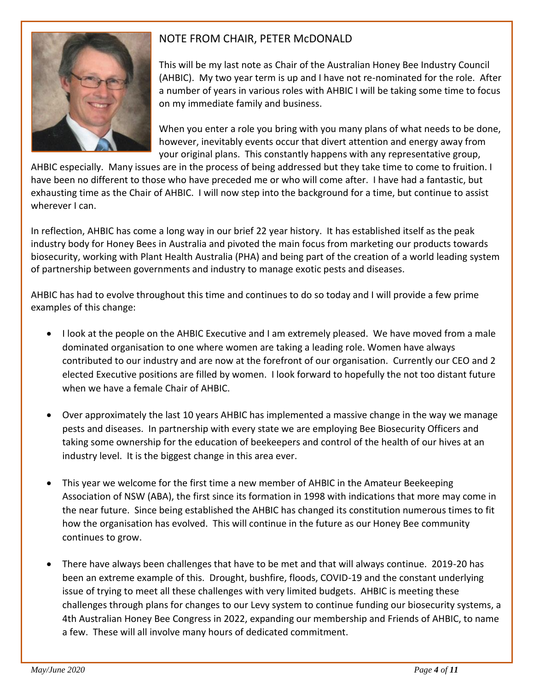

# NOTE FROM CHAIR, PETER McDONALD

This will be my last note as Chair of the Australian Honey Bee Industry Council (AHBIC). My two year term is up and I have not re-nominated for the role. After a number of years in various roles with AHBIC I will be taking some time to focus on my immediate family and business.

When you enter a role you bring with you many plans of what needs to be done, however, inevitably events occur that divert attention and energy away from your original plans. This constantly happens with any representative group,

AHBIC especially. Many issues are in the process of being addressed but they take time to come to fruition. I have been no different to those who have preceded me or who will come after. I have had a fantastic, but exhausting time as the Chair of AHBIC. I will now step into the background for a time, but continue to assist wherever I can.

In reflection, AHBIC has come a long way in our brief 22 year history. It has established itself as the peak industry body for Honey Bees in Australia and pivoted the main focus from marketing our products towards biosecurity, working with Plant Health Australia (PHA) and being part of the creation of a world leading system of partnership between governments and industry to manage exotic pests and diseases.

AHBIC has had to evolve throughout this time and continues to do so today and I will provide a few prime examples of this change:

- I look at the people on the AHBIC Executive and I am extremely pleased. We have moved from a male dominated organisation to one where women are taking a leading role. Women have always contributed to our industry and are now at the forefront of our organisation. Currently our CEO and 2 elected Executive positions are filled by women. I look forward to hopefully the not too distant future when we have a female Chair of AHBIC.
- Over approximately the last 10 years AHBIC has implemented a massive change in the way we manage pests and diseases. In partnership with every state we are employing Bee Biosecurity Officers and taking some ownership for the education of beekeepers and control of the health of our hives at an industry level. It is the biggest change in this area ever.
- This year we welcome for the first time a new member of AHBIC in the Amateur Beekeeping Association of NSW (ABA), the first since its formation in 1998 with indications that more may come in the near future. Since being established the AHBIC has changed its constitution numerous times to fit how the organisation has evolved. This will continue in the future as our Honey Bee community continues to grow.
- There have always been challenges that have to be met and that will always continue. 2019-20 has been an extreme example of this. Drought, bushfire, floods, COVID-19 and the constant underlying issue of trying to meet all these challenges with very limited budgets. AHBIC is meeting these challenges through plans for changes to our Levy system to continue funding our biosecurity systems, a 4th Australian Honey Bee Congress in 2022, expanding our membership and Friends of AHBIC, to name a few. These will all involve many hours of dedicated commitment.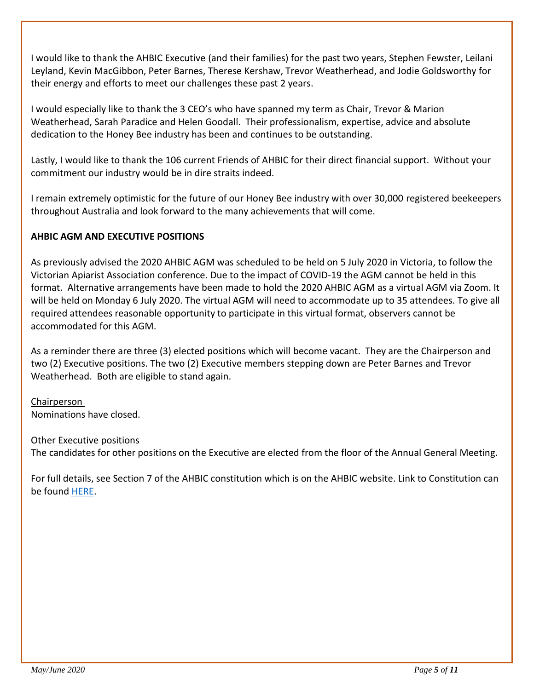I would like to thank the AHBIC Executive (and their families) for the past two years, Stephen Fewster, Leilani Leyland, Kevin MacGibbon, Peter Barnes, Therese Kershaw, Trevor Weatherhead, and Jodie Goldsworthy for their energy and efforts to meet our challenges these past 2 years.

I would especially like to thank the 3 CEO's who have spanned my term as Chair, Trevor & Marion Weatherhead, Sarah Paradice and Helen Goodall. Their professionalism, expertise, advice and absolute dedication to the Honey Bee industry has been and continues to be outstanding.

Lastly, I would like to thank the 106 current Friends of AHBIC for their direct financial support. Without your commitment our industry would be in dire straits indeed.

I remain extremely optimistic for the future of our Honey Bee industry with over 30,000 registered beekeepers throughout Australia and look forward to the many achievements that will come.

# **AHBIC AGM AND EXECUTIVE POSITIONS**

As previously advised the 2020 AHBIC AGM was scheduled to be held on 5 July 2020 in Victoria, to follow the Victorian Apiarist Association conference. Due to the impact of COVID-19 the AGM cannot be held in this format. Alternative arrangements have been made to hold the 2020 AHBIC AGM as a virtual AGM via Zoom. It will be held on Monday 6 July 2020. The virtual AGM will need to accommodate up to 35 attendees. To give all required attendees reasonable opportunity to participate in this virtual format, observers cannot be accommodated for this AGM.

As a reminder there are three (3) elected positions which will become vacant. They are the Chairperson and two (2) Executive positions. The two (2) Executive members stepping down are Peter Barnes and Trevor Weatherhead. Both are eligible to stand again.

Chairperson Nominations have closed.

Other Executive positions

The candidates for other positions on the Executive are elected from the floor of the Annual General Meeting.

For full details, see Section 7 of the AHBIC constitution which is on the AHBIC website. Link to Constitution can be found [HERE.](https://honeybee.org.au/wp-content/uploads/2019/08/Constitution-Australian-Honey-Bee-Industry-Council-AHBIC-Endorsed-29-June-2019.pdf)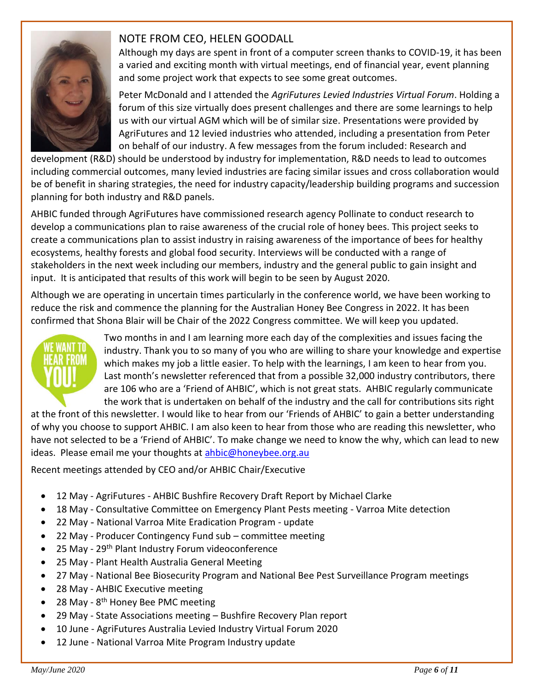

# NOTE FROM CEO, HELEN GOODALL

Although my days are spent in front of a computer screen thanks to COVID-19, it has been a varied and exciting month with virtual meetings, end of financial year, event planning and some project work that expects to see some great outcomes.

Peter McDonald and I attended the *AgriFutures Levied Industries Virtual Forum*. Holding a forum of this size virtually does present challenges and there are some learnings to help us with our virtual AGM which will be of similar size. Presentations were provided by AgriFutures and 12 levied industries who attended, including a presentation from Peter on behalf of our industry. A few messages from the forum included: Research and

development (R&D) should be understood by industry for implementation, R&D needs to lead to outcomes including commercial outcomes, many levied industries are facing similar issues and cross collaboration would be of benefit in sharing strategies, the need for industry capacity/leadership building programs and succession planning for both industry and R&D panels.

AHBIC funded through AgriFutures have commissioned research agency Pollinate to conduct research to develop a communications plan to raise awareness of the crucial role of honey bees. This project seeks to create a communications plan to assist industry in raising awareness of the importance of bees for healthy ecosystems, healthy forests and global food security. Interviews will be conducted with a range of stakeholders in the next week including our members, industry and the general public to gain insight and input. It is anticipated that results of this work will begin to be seen by August 2020.

Although we are operating in uncertain times particularly in the conference world, we have been working to reduce the risk and commence the planning for the Australian Honey Bee Congress in 2022. It has been confirmed that Shona Blair will be Chair of the 2022 Congress committee. We will keep you updated.



Two months in and I am learning more each day of the complexities and issues facing the industry. Thank you to so many of you who are willing to share your knowledge and expertise which makes my job a little easier. To help with the learnings, I am keen to hear from you. Last month's newsletter referenced that from a possible 32,000 industry contributors, there are 106 who are a 'Friend of AHBIC', which is not great stats. AHBIC regularly communicate the work that is undertaken on behalf of the industry and the call for contributions sits right

at the front of this newsletter. I would like to hear from our 'Friends of AHBIC' to gain a better understanding of why you choose to support AHBIC. I am also keen to hear from those who are reading this newsletter, who have not selected to be a 'Friend of AHBIC'. To make change we need to know the why, which can lead to new ideas. Please email me your thoughts at [ahbic@honeybee.org.au](mailto:ahbic@honeybee.org.au)

Recent meetings attended by CEO and/or AHBIC Chair/Executive

- 12 May AgriFutures AHBIC Bushfire Recovery Draft Report by Michael Clarke
- 18 May Consultative Committee on Emergency Plant Pests meeting Varroa Mite detection
- 22 May National Varroa Mite Eradication Program update
- 22 May Producer Contingency Fund sub committee meeting
- 25 May 29<sup>th</sup> Plant Industry Forum videoconference
- 25 May Plant Health Australia General Meeting
- 27 May National Bee Biosecurity Program and National Bee Pest Surveillance Program meetings
- 28 May AHBIC Executive meeting
- 28 May 8<sup>th</sup> Honey Bee PMC meeting
- 29 May State Associations meeting Bushfire Recovery Plan report
- 10 June AgriFutures Australia Levied Industry Virtual Forum 2020
- 12 June National Varroa Mite Program Industry update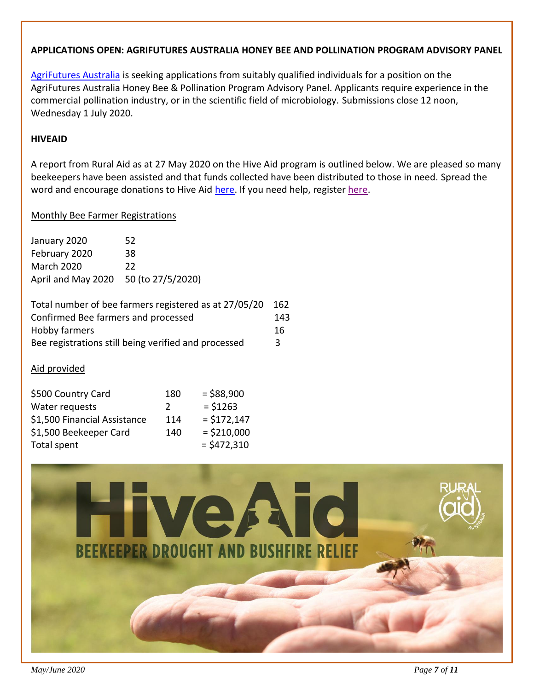## **APPLICATIONS OPEN: AGRIFUTURES AUSTRALIA HONEY BEE AND POLLINATION PROGRAM ADVISORY PANEL**

[AgriFutures Australia](https://www.agrifutures.com.au/news/applications-open-agrifutures-australia-honey-bee-and-pollination-program-advisory-panel/) is seeking applications from suitably qualified individuals for a position on the AgriFutures Australia Honey Bee & Pollination Program Advisory Panel. Applicants require experience in the commercial pollination industry, or in the scientific field of microbiology. Submissions close 12 noon, Wednesday 1 July 2020.

### **HIVEAID**

A report from Rural Aid as at 27 May 2020 on the Hive Aid program is outlined below. We are pleased so many beekeepers have been assisted and that funds collected have been distributed to those in need. Spread the word and encourage donations to Hive Aid [here.](https://www.buyabale.com.au/can-we-help-you/) If you need help, register here.

### Monthly Bee Farmer Registrations

| January 2020                         | 52 |
|--------------------------------------|----|
| February 2020                        | 38 |
| <b>March 2020</b>                    | 22 |
| April and May 2020 50 (to 27/5/2020) |    |

| Total number of bee farmers registered as at 27/05/20 | 162 |
|-------------------------------------------------------|-----|
| Confirmed Bee farmers and processed                   | 143 |
| Hobby farmers                                         | 16  |
| Bee registrations still being verified and processed  | R   |

# Aid provided

| \$500 Country Card           | 180           | $= $88,900$   |
|------------------------------|---------------|---------------|
| Water requests               | $\mathcal{L}$ | $= $1263$     |
| \$1,500 Financial Assistance | 114           | $= $172,147$  |
| \$1,500 Beekeeper Card       | 140           | $=$ \$210,000 |
| Total spent                  |               | $=$ \$472,310 |

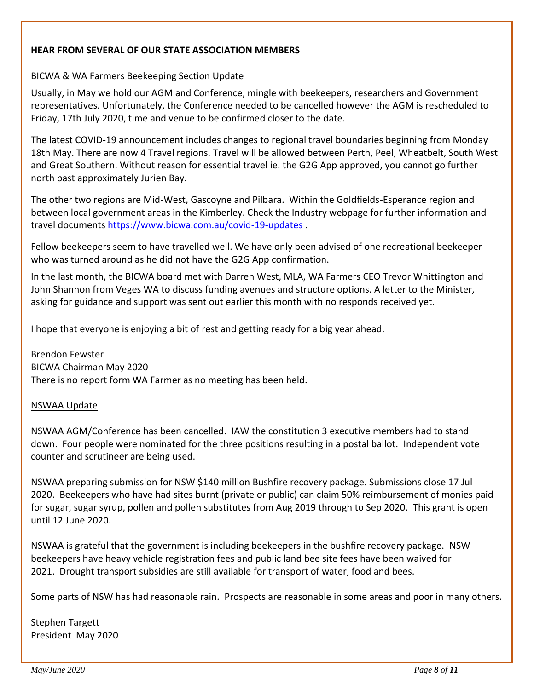# **HEAR FROM SEVERAL OF OUR STATE ASSOCIATION MEMBERS**

### BICWA & WA Farmers Beekeeping Section Update

Usually, in May we hold our AGM and Conference, mingle with beekeepers, researchers and Government representatives. Unfortunately, the Conference needed to be cancelled however the AGM is rescheduled to Friday, 17th July 2020, time and venue to be confirmed closer to the date.

The latest COVID-19 announcement includes changes to regional travel boundaries beginning from Monday 18th May. There are now 4 Travel regions. Travel will be allowed between Perth, Peel, Wheatbelt, South West and Great Southern. Without reason for essential travel ie. the G2G App approved, you cannot go further north past approximately Jurien Bay.

The other two regions are Mid-West, Gascoyne and Pilbara. Within the Goldfields-Esperance region and between local government areas in the Kimberley. Check the Industry webpage for further information and travel documents <https://www.bicwa.com.au/covid-19-updates> .

Fellow beekeepers seem to have travelled well. We have only been advised of one recreational beekeeper who was turned around as he did not have the G2G App confirmation.

In the last month, the BICWA board met with Darren West, MLA, WA Farmers CEO Trevor Whittington and John Shannon from Veges WA to discuss funding avenues and structure options. A letter to the Minister, asking for guidance and support was sent out earlier this month with no responds received yet.

I hope that everyone is enjoying a bit of rest and getting ready for a big year ahead.

Brendon Fewster BICWA Chairman May 2020 There is no report form WA Farmer as no meeting has been held.

# NSWAA Update

NSWAA AGM/Conference has been cancelled. IAW the constitution 3 executive members had to stand down. Four people were nominated for the three positions resulting in a postal ballot. Independent vote counter and scrutineer are being used.

NSWAA preparing submission for NSW \$140 million Bushfire recovery package. Submissions close 17 Jul 2020. Beekeepers who have had sites burnt (private or public) can claim 50% reimbursement of monies paid for sugar, sugar syrup, pollen and pollen substitutes from Aug 2019 through to Sep 2020. This grant is open until 12 June 2020.

NSWAA is grateful that the government is including beekeepers in the bushfire recovery package. NSW beekeepers have heavy vehicle registration fees and public land bee site fees have been waived for 2021. Drought transport subsidies are still available for transport of water, food and bees.

Some parts of NSW has had reasonable rain. Prospects are reasonable in some areas and poor in many others.

Stephen Targett President May 2020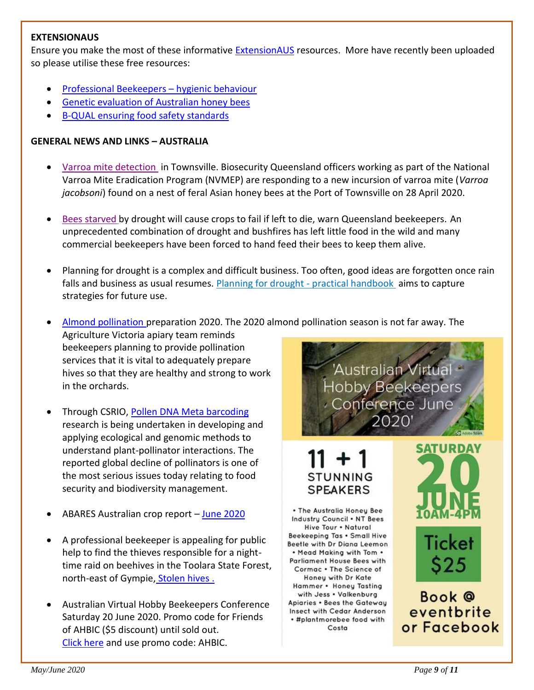### **EXTENSIONAUS**

Ensure you make the most of these informative [ExtensionAUS](https://extensionaus.com.au/) resources. More have recently been uploaded so please utilise these free resources:

- [Professional Beekeepers](https://extensionaus.com.au/professionalbeekeepers/hygienic-behaviour/)  hygienic behaviour
- [Genetic evaluation of Australian honey bees](https://extensionaus.com.au/professionalbeekeepers/genetic-evaluation-of-australian-honey-bees/)
- [B-QUAL ensuring food safety standards](https://extensionaus.com.au/professionalbeekeepers/b-qual-ensuring-food-safety-standards/)

# **GENERAL NEWS AND LINKS – AUSTRALIA**

- [Varroa mite detection](https://www.daf.qld.gov.au/business-priorities/biosecurity/animal-biosecurity-welfare/animal-health-pests-diseases/beekeeping-in-queensland/diseases-and-pests/asian-honey-bees/varroa-mites) in Townsville. Biosecurity Queensland officers working as part of the National Varroa Mite Eradication Program (NVMEP) are responding to a new incursion of varroa mite (*Varroa jacobsoni*) found on a nest of feral Asian honey bees at the Port of Townsville on 28 April 2020.
- [Bees starved](https://www.abc.net.au/news/rural/2020-05-20/world-bee-day-bees-starving-drought-feeding-sugar-honey/12263374) by drought will cause crops to fail if left to die, warn Queensland beekeepers. An unprecedented combination of drought and bushfires has left little food in the wild and many commercial beekeepers have been forced to hand feed their bees to keep them alive.
- Planning for drought is a complex and difficult business. Too often, good ideas are forgotten once rain falls and business as usual resumes. [Planning for drought -](https://www.tocal.nsw.edu.au/publications/farm-management/preparing-for-drought) practical handbook aims to capture strategies for future use.
- [Almond pollination](https://beeaware.org.au/archive-news/almond-pollination-preparation-2020/) preparation 2020. The 2020 almond pollination season is not far away. The

Agriculture Victoria apiary team reminds beekeepers planning to provide pollination services that it is vital to adequately prepare hives so that they are healthy and strong to work in the orchards.

- Through CSRIO, [Pollen DNA Meta barcoding](https://research.csiro.au/environomics/our-people/our-early-career-researchers/dr-liz-milla/?utm_source=Environomics-June-2020&utm_medium=newsletter&utm_campaign=Environomics) research is being undertaken in developing and applying ecological and genomic methods to understand plant-pollinator interactions. The reported global decline of pollinators is one of the most serious issues today relating to food security and biodiversity management.
- [ABARES Australian crop report](http://email.farmers.org.au/lt.php?s=83447441054ebdcdfa272870df5631c9&i=497A711A37A6644)  [June 2020](https://daff.ent.sirsidynix.net.au/client/en_AU/search/asset/1030361/0)
- A professional beekeeper is appealing for public help to find the thieves responsible for a nighttime raid on beehives in the Toolara State Forest, north-east of Gympie, [Stolen hives](https://www.abc.net.au/news/rural/2020-05-08/thieves-steal-beehives-toolara-state-forest/12227548).
- Australian Virtual Hobby Beekeepers Conference Saturday 20 June 2020. Promo code for Friends of AHBIC (\$5 discount) until sold out. [Click here](https://www.eventbrite.com.au/e/australian-virtual-hobby-beekeepers-conference-june-2020-tickets-103294320092) and use promo code: AHBIC.



# **STUNNING SPEAKERS**

. The Australia Honey Bee Industry Council . NT Bees Hive Tour . Natural Beekeeping Tas . Small Hive Beetle with Dr Diana Leemon . Mead Makina with Tom . **Parliament House Bees with** Cormac . The Science of Honey with Dr Kate Hammer . Honey Tasting with Jess . Valkenburg Apiaries . Bees the Gateway Insect with Cedar Anderson . #plantmorebee food with Costa



eventbrite or Facebook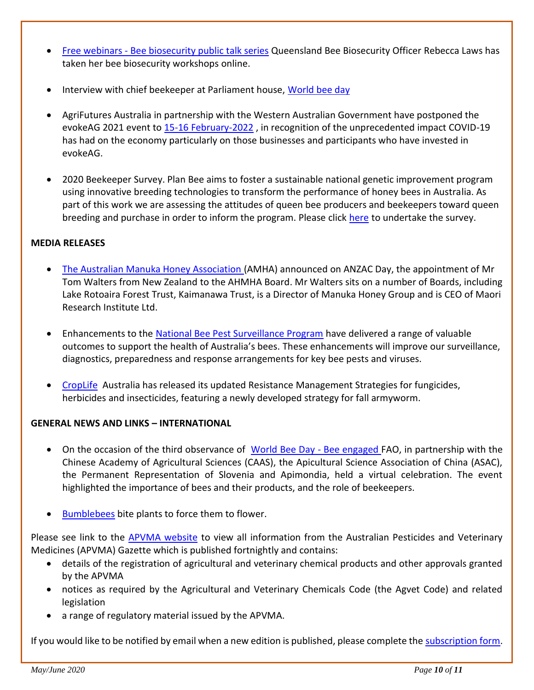- Free webinars [Bee biosecurity public talk series](https://beeaware.org.au/archive-news/bee-biosecurity-public-talk-series/) Queensland Bee Biosecurity Officer [Rebecca Laws](https://beeaware.org.au/national-bee-biosecurity-program/rebecca-laws/) has taken her bee biosecurity workshops online.
- Interview with chief beekeeper at Parliament house, [World bee day](https://www.facebook.com/114503341893201/posts/3754012804608885/?vh=e)
- AgriFutures Australia in partnership with the Western Australian Government have postponed the evokeAG 2021 event to [15-16 February-2022](https://www.agrifutures.com.au/news/the-western-australia-city-of-perth-will-host-evokeag-on-15-16-february-2022/) , in recognition of the unprecedented impact COVID-19 has had on the economy particularly on those businesses and participants who have invested in evokeAG.
- 2020 Beekeeper Survey. Plan Bee aims to foster a sustainable national genetic improvement program using innovative breeding technologies to transform the performance of honey bees in Australia. As part of this work we are assessing the attitudes of queen bee producers and beekeepers toward queen breeding and purchase in order to inform the program. Please click [here](https://redcap.sydney.edu.au/surveys/?s=K98XKXNA97) to undertake the survey.

# **MEDIA RELEASES**

- [The Australian Manuka Honey Association \(](https://www.manukaaustralia.org.au/australian-manuka-honey-association-new-zealand-board-member/)AMHA) announced on ANZAC Day, the appointment of Mr Tom Walters from New Zealand to the AHMHA Board. Mr Walters sits on a number of Boards, including Lake Rotoaira Forest Trust, Kaimanawa Trust, is a Director of Manuka Honey Group and is CEO of Maori Research Institute Ltd.
- Enhancements to the [National Bee Pest Surveillance Program](https://www.awe.gov.au/news/media-releases/enhancing-australias-bee-pest-surveillance) have delivered a range of valuable outcomes to support the health of Australia's bees. These enhancements will improve our surveillance, diagnostics, preparedness and response arrangements for key bee pests and viruses.
- [CropLife](https://www.croplife.org.au/media/media-releases/crucial-advice-for-farmers-on-resistance-management-now-available-online/) Australia has released its updated Resistance Management Strategies for fungicides, herbicides and insecticides, featuring a newly developed strategy for fall armyworm.

# **GENERAL NEWS AND LINKS – INTERNATIONAL**

- On the occasion of the third observance of [World Bee Day -](http://www.fao.org/webcast/home/en/item/5270/icode/) Bee engaged FAO, in partnership with the Chinese Academy of Agricultural Sciences (CAAS), the Apicultural Science Association of China (ASAC), the Permanent Representation of Slovenia and Apimondia, held a virtual celebration. The event highlighted the importance of bees and their products, and the role of beekeepers.
- [Bumblebees](https://www.scientificamerican.com/article/bumblebees-bite-plants-to-force-them-to-flower-seriously/) bite plants to force them to flower.

Please see link to the [APVMA website](https://apvma.gov.au/news-and-publications/publications/gazette) to view all information from the Australian Pesticides and Veterinary Medicines (APVMA) Gazette which is published fortnightly and contains:

- details of the registration of agricultural and veterinary chemical products and other approvals granted by the APVMA
- notices as required by the Agricultural and Veterinary Chemicals Code (the Agvet Code) and related legislation
- a range of regulatory material issued by the APVMA.

If you would like to be notified by email when a new edition is published, please complete the [subscription form.](https://apvma.us2.list-manage.com/subscribe?u=f09f7f9ed2a2867a19b99e2e4&id=a025640240)